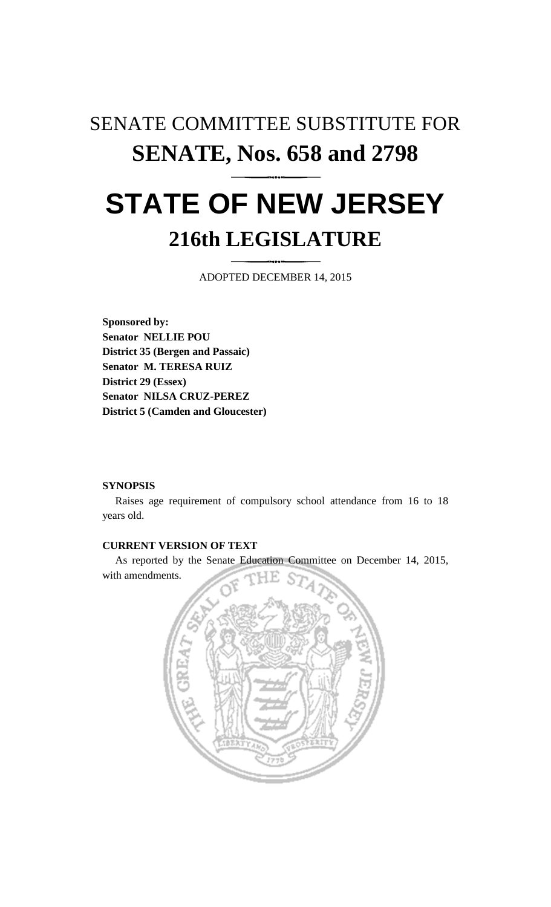# SENATE COMMITTEE SUBSTITUTE FOR **SENATE, Nos. 658 and 2798 STATE OF NEW JERSEY**

## **216th LEGISLATURE**

ADOPTED DECEMBER 14, 2015

**Sponsored by: Senator NELLIE POU District 35 (Bergen and Passaic) Senator M. TERESA RUIZ District 29 (Essex) Senator NILSA CRUZ-PEREZ District 5 (Camden and Gloucester)**

#### **SYNOPSIS**

Raises age requirement of compulsory school attendance from 16 to 18 years old.

### **CURRENT VERSION OF TEXT**

As reported by the Senate Education Committee on December 14, 2015, with amendments.

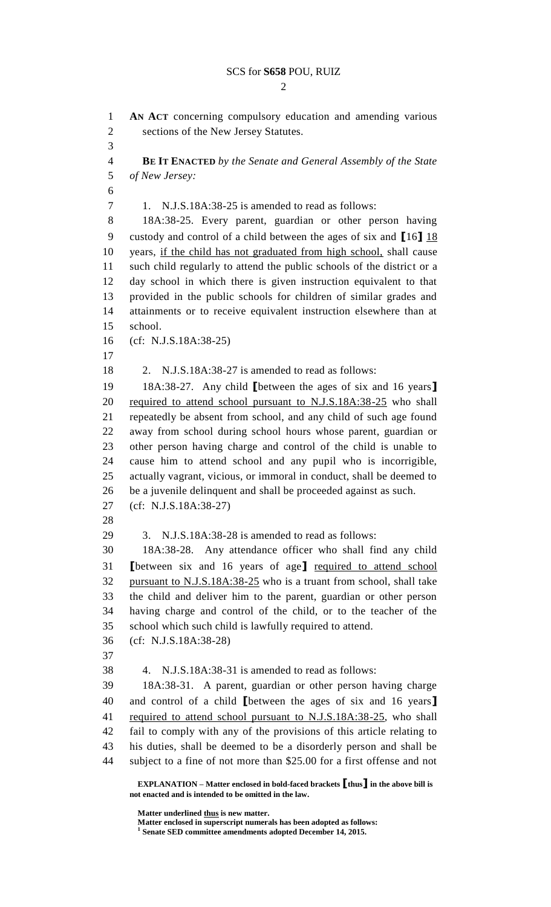$\mathcal{D}_{\mathcal{L}}$ 

**EXPLANATION – Matter enclosed in bold-faced brackets [thus] in the above bill is AN ACT** concerning compulsory education and amending various sections of the New Jersey Statutes. **BE IT ENACTED** *by the Senate and General Assembly of the State of New Jersey:* 1. N.J.S.18A:38-25 is amended to read as follows: 18A:38-25. Every parent, guardian or other person having custody and control of a child between the ages of six and **[**16**]** 18 years, if the child has not graduated from high school, shall cause such child regularly to attend the public schools of the district or a day school in which there is given instruction equivalent to that provided in the public schools for children of similar grades and attainments or to receive equivalent instruction elsewhere than at school. (cf: N.J.S.18A:38-25) 2. N.J.S.18A:38-27 is amended to read as follows: 18A:38-27. Any child **[**between the ages of six and 16 years**]** required to attend school pursuant to N.J.S.18A:38-25 who shall repeatedly be absent from school, and any child of such age found away from school during school hours whose parent, guardian or other person having charge and control of the child is unable to cause him to attend school and any pupil who is incorrigible, actually vagrant, vicious, or immoral in conduct, shall be deemed to be a juvenile delinquent and shall be proceeded against as such. (cf: N.J.S.18A:38-27) 3. N.J.S.18A:38-28 is amended to read as follows: 18A:38-28. Any attendance officer who shall find any child **[**between six and 16 years of age**]** required to attend school pursuant to N.J.S.18A:38-25 who is a truant from school, shall take the child and deliver him to the parent, guardian or other person having charge and control of the child, or to the teacher of the school which such child is lawfully required to attend. (cf: N.J.S.18A:38-28) 4. N.J.S.18A:38-31 is amended to read as follows: 18A:38-31. A parent, guardian or other person having charge and control of a child **[**between the ages of six and 16 years**]** required to attend school pursuant to N.J.S.18A:38-25, who shall fail to comply with any of the provisions of this article relating to his duties, shall be deemed to be a disorderly person and shall be subject to a fine of not more than \$25.00 for a first offense and not

**Matter underlined thus is new matter.**

**not enacted and is intended to be omitted in the law.**

**Matter enclosed in superscript numerals has been adopted as follows: 1**

**Senate SED committee amendments adopted December 14, 2015.**